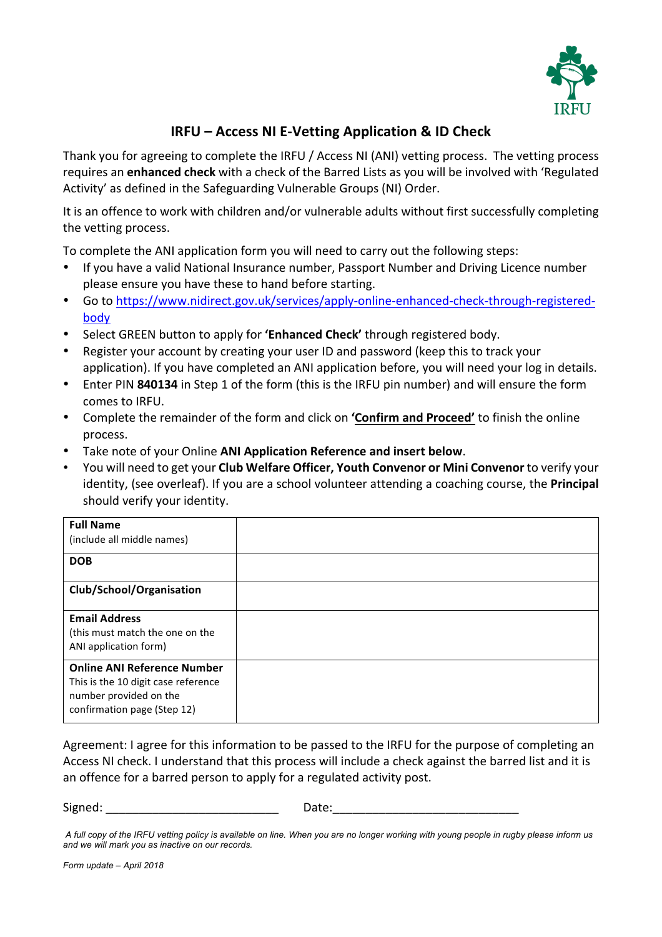

## **IRFU – Access NI E-Vetting Application & ID Check**

Thank you for agreeing to complete the IRFU / Access NI (ANI) vetting process. The vetting process requires an enhanced check with a check of the Barred Lists as you will be involved with 'Regulated Activity' as defined in the Safeguarding Vulnerable Groups (NI) Order.

It is an offence to work with children and/or vulnerable adults without first successfully completing the vetting process.

To complete the ANI application form you will need to carry out the following steps:

- If you have a valid National Insurance number, Passport Number and Driving Licence number please ensure you have these to hand before starting.
- Go to https://www.nidirect.gov.uk/services/apply-online-enhanced-check-through-registeredbody
- Select GREEN button to apply for 'Enhanced Check' through registered body.
- Register your account by creating your user ID and password (keep this to track your application). If you have completed an ANI application before, you will need your log in details.
- Enter PIN 840134 in Step 1 of the form (this is the IRFU pin number) and will ensure the form comes to IRFU.
- Complete the remainder of the form and click on **'Confirm and Proceed'** to finish the online process.
- Take note of your Online **ANI Application Reference and insert below.**
- You will need to get your **Club Welfare Officer, Youth Convenor or Mini Convenor** to verify your identity, (see overleaf). If you are a school volunteer attending a coaching course, the **Principal** should verify your identity.

| <b>Full Name</b><br>(include all middle names)                                                                                     |  |
|------------------------------------------------------------------------------------------------------------------------------------|--|
| <b>DOB</b>                                                                                                                         |  |
| Club/School/Organisation                                                                                                           |  |
| <b>Email Address</b><br>(this must match the one on the<br>ANI application form)                                                   |  |
| <b>Online ANI Reference Number</b><br>This is the 10 digit case reference<br>number provided on the<br>confirmation page (Step 12) |  |

Agreement: I agree for this information to be passed to the IRFU for the purpose of completing an Access NI check. I understand that this process will include a check against the barred list and it is an offence for a barred person to apply for a regulated activity post.

Signed: \_\_\_\_\_\_\_\_\_\_\_\_\_\_\_\_\_\_\_\_\_\_\_\_\_\_\_\_\_\_\_ Date:\_\_\_\_\_\_\_\_\_\_\_\_\_\_\_\_\_\_\_\_\_\_\_\_\_\_\_\_\_\_\_\_\_\_

*Form update – April 2018*

*A full copy of the IRFU vetting policy is available on line. When you are no longer working with young people in rugby please inform us and we will mark you as inactive on our records.*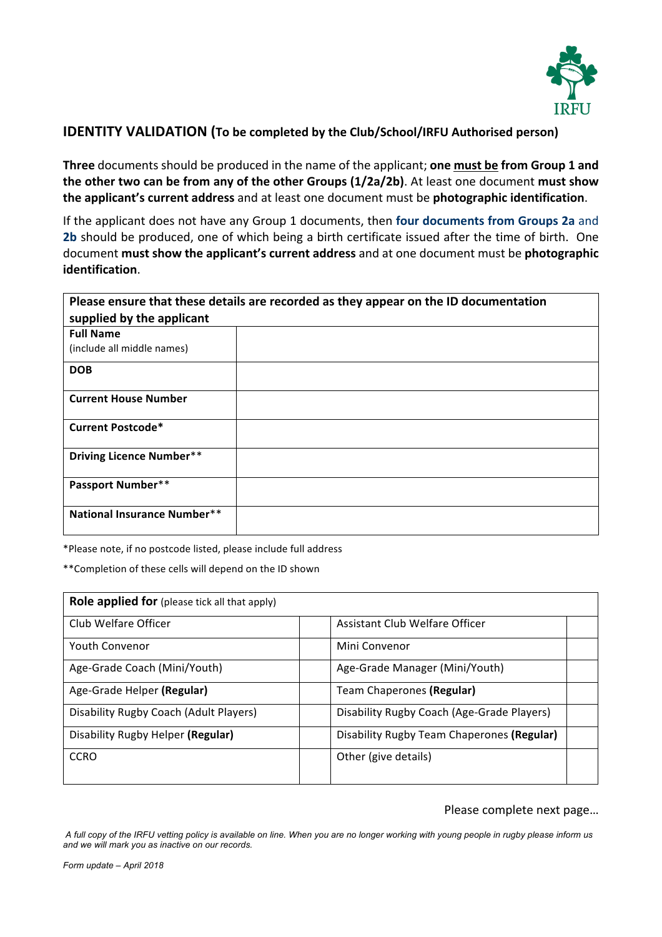

## **IDENTITY VALIDATION** (To be completed by the Club/School/IRFU Authorised person)

**Three** documents should be produced in the name of the applicant; one must be from Group 1 and **the other two can be from any of the other Groups (1/2a/2b)**. At least one document must show the applicant's current address and at least one document must be photographic identification.

If the applicant does not have any Group 1 documents, then **four documents from Groups 2a** and **2b** should be produced, one of which being a birth certificate issued after the time of birth. One document **must show the applicant's current address** and at one document must be **photographic identification**.

| Please ensure that these details are recorded as they appear on the ID documentation |  |  |
|--------------------------------------------------------------------------------------|--|--|
| supplied by the applicant                                                            |  |  |
| <b>Full Name</b>                                                                     |  |  |
| (include all middle names)                                                           |  |  |
| <b>DOB</b>                                                                           |  |  |
| <b>Current House Number</b>                                                          |  |  |
| <b>Current Postcode*</b>                                                             |  |  |
| <b>Driving Licence Number**</b>                                                      |  |  |
| <b>Passport Number**</b>                                                             |  |  |
| <b>National Insurance Number**</b>                                                   |  |  |

\*Please note, if no postcode listed, please include full address

\*\*Completion of these cells will depend on the ID shown

| Role applied for (please tick all that apply) |                                            |
|-----------------------------------------------|--------------------------------------------|
| Club Welfare Officer                          | Assistant Club Welfare Officer             |
| <b>Youth Convenor</b>                         | Mini Convenor                              |
| Age-Grade Coach (Mini/Youth)                  | Age-Grade Manager (Mini/Youth)             |
| Age-Grade Helper (Regular)                    | Team Chaperones (Regular)                  |
| Disability Rugby Coach (Adult Players)        | Disability Rugby Coach (Age-Grade Players) |
| Disability Rugby Helper (Regular)             | Disability Rugby Team Chaperones (Regular) |
| <b>CCRO</b>                                   | Other (give details)                       |
|                                               |                                            |

## Please complete next page...

*A full copy of the IRFU vetting policy is available on line. When you are no longer working with young people in rugby please inform us and we will mark you as inactive on our records.*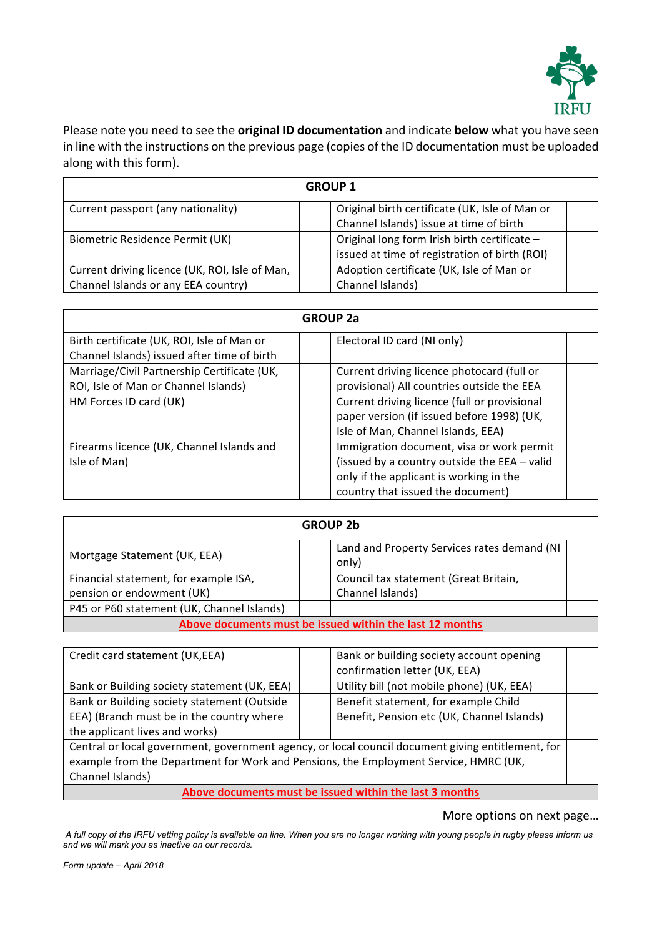

Please note you need to see the **original ID documentation** and indicate **below** what you have seen in line with the instructions on the previous page (copies of the ID documentation must be uploaded along with this form).

| <b>GROUP 1</b>                                 |                                                |  |  |
|------------------------------------------------|------------------------------------------------|--|--|
| Current passport (any nationality)             | Original birth certificate (UK, Isle of Man or |  |  |
|                                                | Channel Islands) issue at time of birth        |  |  |
| Biometric Residence Permit (UK)                | Original long form Irish birth certificate -   |  |  |
|                                                | issued at time of registration of birth (ROI)  |  |  |
| Current driving licence (UK, ROI, Isle of Man, | Adoption certificate (UK, Isle of Man or       |  |  |
| Channel Islands or any EEA country)            | Channel Islands)                               |  |  |

| <b>GROUP 2a</b>                             |                                              |  |  |
|---------------------------------------------|----------------------------------------------|--|--|
| Birth certificate (UK, ROI, Isle of Man or  | Electoral ID card (NI only)                  |  |  |
| Channel Islands) issued after time of birth |                                              |  |  |
| Marriage/Civil Partnership Certificate (UK, | Current driving licence photocard (full or   |  |  |
| ROI, Isle of Man or Channel Islands)        | provisional) All countries outside the EEA   |  |  |
| HM Forces ID card (UK)                      | Current driving licence (full or provisional |  |  |
|                                             | paper version (if issued before 1998) (UK,   |  |  |
|                                             | Isle of Man, Channel Islands, EEA)           |  |  |
| Firearms licence (UK, Channel Islands and   | Immigration document, visa or work permit    |  |  |
| Isle of Man)                                | (issued by a country outside the EEA - valid |  |  |
|                                             | only if the applicant is working in the      |  |  |
|                                             | country that issued the document)            |  |  |

| <b>GROUP 2b</b>                                          |  |                                                      |  |
|----------------------------------------------------------|--|------------------------------------------------------|--|
| Mortgage Statement (UK, EEA)                             |  | Land and Property Services rates demand (NI<br>only) |  |
| Financial statement, for example ISA,                    |  | Council tax statement (Great Britain,                |  |
| pension or endowment (UK)                                |  | Channel Islands)                                     |  |
| P45 or P60 statement (UK, Channel Islands)               |  |                                                      |  |
| Above documents must be issued within the last 12 months |  |                                                      |  |

| Credit card statement (UK,EEA)                                                                    | Bank or building society account opening<br>confirmation letter (UK, EEA) |  |  |
|---------------------------------------------------------------------------------------------------|---------------------------------------------------------------------------|--|--|
| Bank or Building society statement (UK, EEA)                                                      | Utility bill (not mobile phone) (UK, EEA)                                 |  |  |
| Bank or Building society statement (Outside                                                       | Benefit statement, for example Child                                      |  |  |
| EEA) (Branch must be in the country where                                                         | Benefit, Pension etc (UK, Channel Islands)                                |  |  |
| the applicant lives and works)                                                                    |                                                                           |  |  |
| Central or local government, government agency, or local council document giving entitlement, for |                                                                           |  |  |
| example from the Department for Work and Pensions, the Employment Service, HMRC (UK,              |                                                                           |  |  |
| Channel Islands)                                                                                  |                                                                           |  |  |
| Above documents must be issued within the last 3 months                                           |                                                                           |  |  |

More options on next page...

*A full copy of the IRFU vetting policy is available on line. When you are no longer working with young people in rugby please inform us and we will mark you as inactive on our records.*